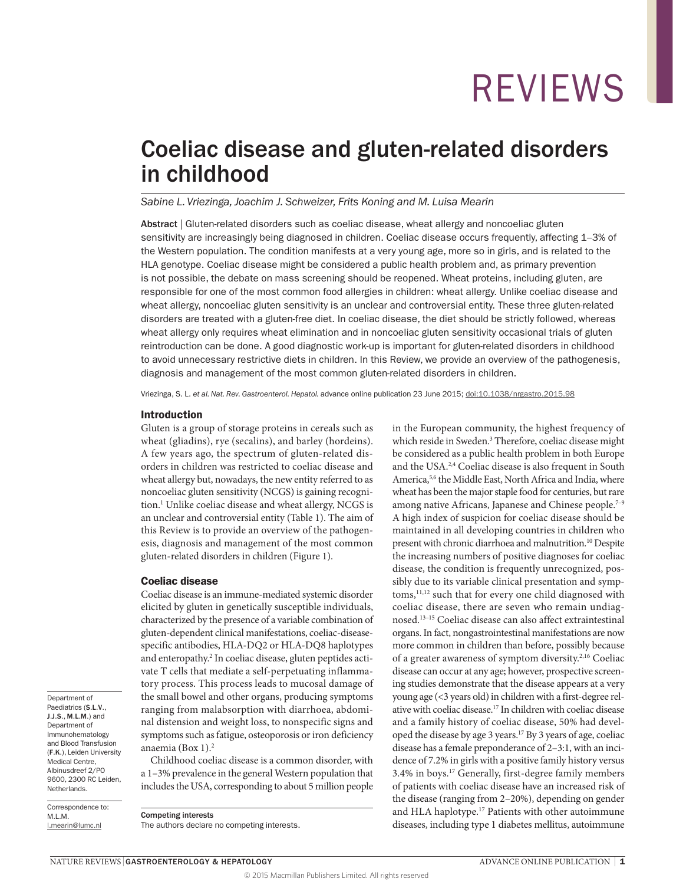## Coeliac disease and gluten-related disorders in childhood

#### *Sabine L. Vriezinga, Joachim J. Schweizer, Frits Koning and M. Luisa Mearin*

Abstract | Gluten-related disorders such as coeliac disease, wheat allergy and noncoeliac gluten sensitivity are increasingly being diagnosed in children. Coeliac disease occurs frequently, affecting 1–3% of the Western population. The condition manifests at a very young age, more so in girls, and is related to the HLA genotype. Coeliac disease might be considered a public health problem and, as primary prevention is not possible, the debate on mass screening should be reopened. Wheat proteins, including gluten, are responsible for one of the most common food allergies in children: wheat allergy. Unlike coeliac disease and wheat allergy, noncoeliac gluten sensitivity is an unclear and controversial entity. These three gluten-related disorders are treated with a gluten-free diet. In coeliac disease, the diet should be strictly followed, whereas wheat allergy only requires wheat elimination and in noncoeliac gluten sensitivity occasional trials of gluten reintroduction can be done. A good diagnostic work-up is important for gluten-related disorders in childhood to avoid unnecessary restrictive diets in children. In this Review, we provide an overview of the pathogenesis, diagnosis and management of the most common gluten-related disorders in children.

Vriezinga, S. L. *et al. Nat. Rev. Gastroenterol. Hepatol.* advance online publication 23 June 2015; [doi:10.1038/nrgastro.2015.98](http://dx.doi.org/10.1038/nrgastro.2015.98)

#### Introduction

Gluten is a group of storage proteins in cereals such as wheat (gliadins), rye (secalins), and barley (hordeins). A few years ago, the spectrum of gluten-related disorders in children was restricted to coeliac disease and wheat allergy but, nowadays, the new entity referred to as noncoeliac gluten sensitivity (NCGS) is gaining recognition.<sup>1</sup> Unlike coeliac disease and wheat allergy, NCGS is an unclear and controversial entity (Table 1). The aim of this Review is to provide an overview of the pathogenesis, diagnosis and management of the most common gluten-related disorders in children (Figure 1).

#### Coeliac disease

Coeliac disease is an immune-mediated systemic disorder elicited by gluten in genetically susceptible individuals, characterized by the presence of a variable combination of gluten-dependent clinical manifestations, coeliac-diseasespecific antibodies, HLA-DQ2 or HLA-DQ8 haplotypes and enteropathy.<sup>2</sup> In coeliac disease, gluten peptides activate T cells that mediate a self-perpetuating inflammatory process. This process leads to mucosal damage of the small bowel and other organs, producing symptoms ranging from malabsorption with diarrhoea, abdominal distension and weight loss, to nonspecific signs and symptoms such as fatigue, osteoporosis or iron deficiency anaemia (Box 1).2

Childhood coeliac disease is a common disorder, with a 1–3% prevalence in the general Western population that includes the USA, corresponding to about 5 million people

Correspondence to: M.L.M. [l.mearin@lumc.nl](mailto:l.mearin@lumc.nl)

Department of Paediatrics (**S.L.V.**, J.J.S., M.L.M.) and Department of Immunohematology and Blood Transfusion (F.K.), Leiden University Medical Centre, Albinusdreef 2/PO 9600, 2300 RC Leiden, Netherlands.

> Competing interests The authors declare no competing interests.

in the European community, the highest frequency of which reside in Sweden.<sup>3</sup> Therefore, coeliac disease might be considered as a public health problem in both Europe and the USA.2,4 Coeliac disease is also frequent in South America,<sup>5,6</sup> the Middle East, North Africa and India, where wheat has been the major staple food for centuries, but rare among native Africans, Japanese and Chinese people.<sup>7-9</sup> A high index of suspicion for coeliac disease should be maintained in all developing countries in children who present with chronic diarrhoea and malnutrition.<sup>10</sup> Despite the increasing numbers of positive diagnoses for coeliac disease, the condition is frequently unrecognized, possibly due to its variable clinical presentation and symptoms,<sup>11,12</sup> such that for every one child diagnosed with coeliac disease, there are seven who remain undiagnosed.13–15 Coeliac disease can also affect extraintestinal organs. In fact, nongastrointestinal manifestations are now more common in children than before, possibly because of a greater awareness of symptom diversity.<sup>2,16</sup> Coeliac disease can occur at any age; however, prospective screening studies demonstrate that the disease appears at a very young age (<3 years old) in children with a first-degree relative with coeliac disease.17 In children with coeliac disease and a family history of coeliac disease, 50% had developed the disease by age 3 years.17 By 3 years of age, coeliac disease has a female preponderance of 2–3:1, with an incidence of 7.2% in girls with a positive family history versus 3.4% in boys.17 Generally, first-degree family members of patients with coeliac disease have an increased risk of the disease (ranging from 2–20%), depending on gender and HLA haplotype.<sup>17</sup> Patients with other autoimmune diseases, including type 1 diabetes mellitus, autoimmune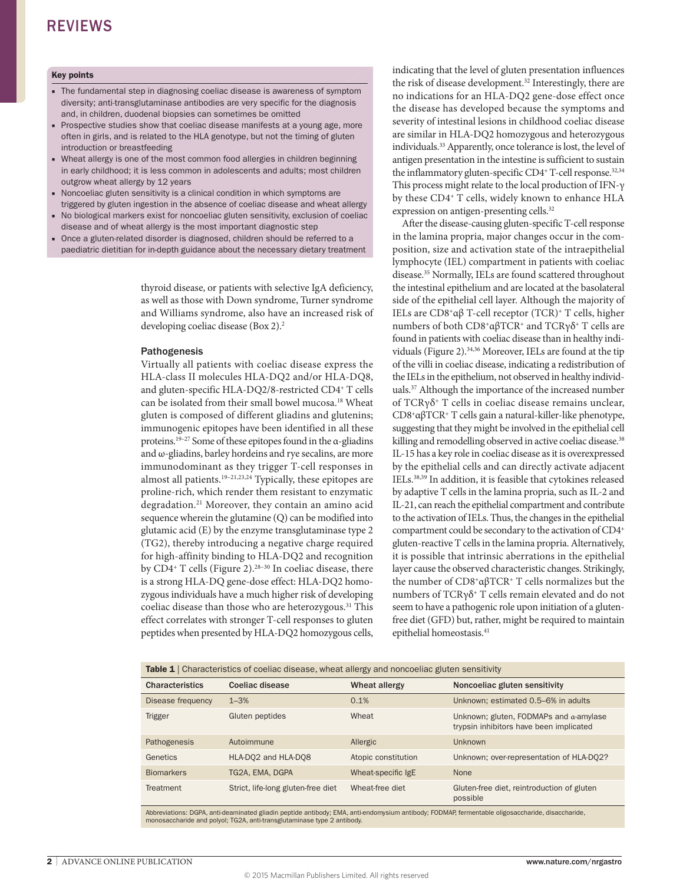#### Key points

- The fundamental step in diagnosing coeliac disease is awareness of symptom diversity; anti-transglutaminase antibodies are very specific for the diagnosis and, in children, duodenal biopsies can sometimes be omitted
- Prospective studies show that coeliac disease manifests at a young age, more often in girls, and is related to the HLA genotype, but not the timing of gluten introduction or breastfeeding
- Wheat allergy is one of the most common food allergies in children beginning in early childhood; it is less common in adolescents and adults; most children outgrow wheat allergy by 12 years
- Noncoeliac gluten sensitivity is a clinical condition in which symptoms are triggered by gluten ingestion in the absence of coeliac disease and wheat allergy
- No biological markers exist for noncoeliac gluten sensitivity, exclusion of coeliac disease and of wheat allergy is the most important diagnostic step
- Once a gluten-related disorder is diagnosed, children should be referred to a paediatric dietitian for in-depth guidance about the necessary dietary treatment

thyroid disease, or patients with selective IgA deficiency, as well as those with Down syndrome, Turner syndrome and Williams syndrome, also have an increased risk of developing coeliac disease (Box 2).<sup>2</sup>

#### Pathogenesis

Virtually all patients with coeliac disease express the HLA-class II molecules HLA-DQ2 and/or HLA-DQ8, and gluten-specific HLA-DQ2/8-restricted CD4+ T cells can be isolated from their small bowel mucosa.<sup>18</sup> Wheat gluten is composed of different gliadins and glutenins; immunogenic epitopes have been identified in all these proteins.19–27 Some of these epitopes found in the α-gliadins and ω-gliadins, barley hordeins and rye secalins, are more immunodominant as they trigger T-cell responses in almost all patients.<sup>19-21,23,24</sup> Typically, these epitopes are proline-rich, which render them resistant to enzymatic degradation.<sup>21</sup> Moreover, they contain an amino acid sequence wherein the glutamine (Q) can be modified into glutamic acid (E) by the enzyme transglutaminase type 2 (TG2), thereby introducing a negative charge required for high-affinity binding to HLA-DQ2 and recognition by  $CD4^+$  T cells (Figure 2).<sup>28-30</sup> In coeliac disease, there is a strong HLA-DQ gene-dose effect: HLA-DQ2 homozygous individuals have a much higher risk of developing coeliac disease than those who are heterozygous.<sup>31</sup> This effect correlates with stronger T-cell responses to gluten peptides when presented by HLA-DQ2 homozygous cells, indicating that the level of gluten presentation influences the risk of disease development.32 Interestingly, there are no indications for an HLA-DQ2 gene-dose effect once the disease has developed because the symptoms and severity of intestinal lesions in childhood coeliac disease are similar in HLA-DQ2 homozygous and heterozygous individuals.33 Apparently, once tolerance is lost, the level of antigen presentation in the intestine is sufficient to sustain the inflammatory gluten-specific CD4<sup>+</sup> T-cell response.<sup>32,34</sup> This process might relate to the local production of IFN-γ by these CD4+ T cells, widely known to enhance HLA expression on antigen-presenting cells.32

After the disease-causing gluten-specific T-cell response in the lamina propria, major changes occur in the composition, size and activation state of the intraepithelial lymphocyte (IEL) compartment in patients with coeliac disease.35 Normally, IELs are found scattered throughout the intestinal epithelium and are located at the basolateral side of the epithelial cell layer. Although the majority of IELs are CD8+αβ T-cell receptor (TCR)+ T cells, higher numbers of both CD8+αβTCR+ and TCRγδ+ T cells are found in patients with coeliac disease than in healthy individuals (Figure 2).34,36 Moreover, IELs are found at the tip of the villi in coeliac disease, indicating a redistribution of the IELs in the epithelium, not observed in healthy individuals.37 Although the importance of the increased number of TCRγδ+ T cells in coeliac disease remains unclear, CD8+αβTCR+ T cells gain a natural-killer-like phenotype, suggesting that they might be involved in the epithelial cell killing and remodelling observed in active coeliac disease.<sup>38</sup> IL-15 has a key role in coeliac disease as it is overexpressed by the epithelial cells and can directly activate adjacent IELs.38,39 In addition, it is feasible that cytokines released by adaptive T cells in the lamina propria, such as IL-2 and IL-21, can reach the epithelial compartment and contribute to the activation of IELs. Thus, the changes in the epithelial compartment could be secondary to the activation of CD4+ gluten-reactive T cells in the lamina propria. Alternatively, it is possible that intrinsic aberrations in the epithelial layer cause the observed characteristic changes. Strikingly, the number of CD8+αβTCR+ T cells normalizes but the numbers of TCRγδ+ T cells remain elevated and do not seem to have a pathogenic role upon initiation of a glutenfree diet (GFD) but, rather, might be required to maintain epithelial homeostasis.41

| <b>Table 1</b> Characteristics of coeliac disease, wheat allergy and noncoeliac gluten sensitivity |                                    |                     |                                                                                           |
|----------------------------------------------------------------------------------------------------|------------------------------------|---------------------|-------------------------------------------------------------------------------------------|
| <b>Characteristics</b>                                                                             | Coeliac disease                    | Wheat allergy       | Noncoeliac gluten sensitivity                                                             |
| Disease frequency                                                                                  | $1 - 3%$                           | 0.1%                | Unknown; estimated 0.5–6% in adults                                                       |
| <b>Trigger</b>                                                                                     | Gluten peptides                    | Wheat               | Unknown; gluten, FODMAPs and $\alpha$ -amylase<br>trypsin inhibitors have been implicated |
| Pathogenesis                                                                                       | Autoimmune                         | Allergic            | <b>Unknown</b>                                                                            |
| Genetics                                                                                           | HLA-DQ2 and HLA-DQ8                | Atopic constitution | Unknown; over-representation of HLA-DQ2?                                                  |
| <b>Biomarkers</b>                                                                                  | TG2A, EMA, DGPA                    | Wheat-specific IgE  | None                                                                                      |
| Treatment                                                                                          | Strict, life-long gluten-free diet | Wheat-free diet     | Gluten-free diet, reintroduction of gluten<br>possible                                    |

Abbreviations: DGPA, anti-deaminated gliadin peptide antibody; EMA, anti-endomysium antibody; FODMAP, fermentable oligosaccharide, disaccharide, monosaccharide and polyol; TG2A, anti-transglutaminase type 2 antibody.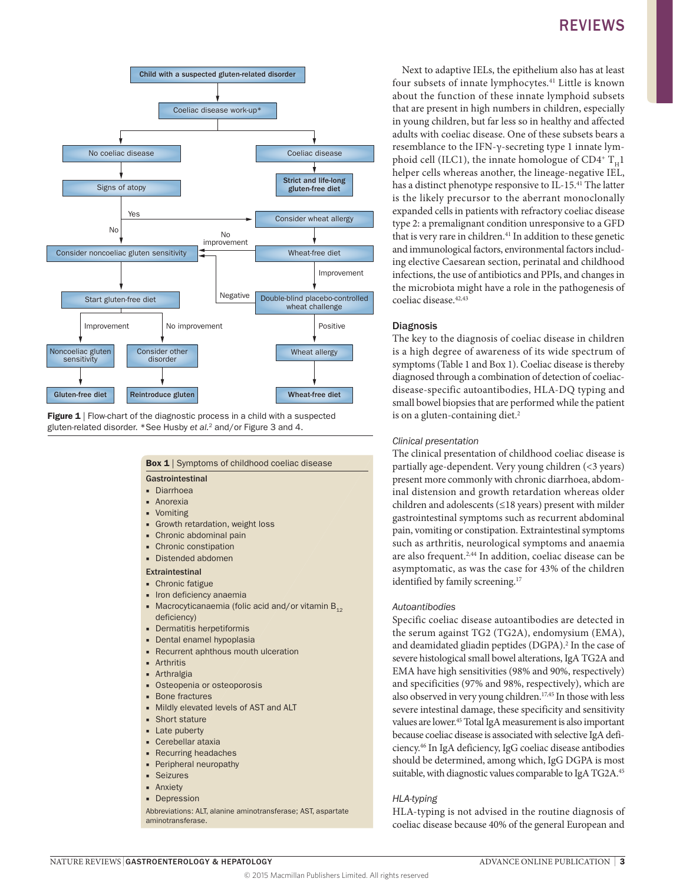

**Figure 1** | Flow-chart of the diagnostic process in a child with a suspected gluten-related disorder. \*See Husby *et al.*2 and/or Figure 3 and 4.

### Box 1 | Symptoms of childhood coeliac disease

#### Gastrointestinal

- Diarrhoea
- Anorexia
- Vomiting
- Growth retardation, weight loss
- Chronic abdominal pain
- Chronic constipation
- Distended abdomen

#### Extraintestinal

- Chronic fatigue
- Iron deficiency anaemia
- Macrocyticanaemia (folic acid and/or vitamin  $B_{12}$ deficiency)
- Dermatitis herpetiformis
- Dental enamel hypoplasia
- Recurrent aphthous mouth ulceration
- Arthritis
- Arthralgia
- Osteopenia or osteoporosis
- Bone fractures
- Mildly elevated levels of AST and ALT
- Short stature
- Late puberty
- Cerebellar ataxia
- Recurring headaches
- Peripheral neuropathy
- Seizures
- Anxiety ■ Depression

Abbreviations: ALT, alanine aminotransferase; AST, aspartate aminotransferase.

## REVIEWS

four subsets of innate lymphocytes.41 Little is known about the function of these innate lymphoid subsets that are present in high numbers in children, especially in young children, but far less so in healthy and affected adults with coeliac disease. One of these subsets bears a resemblance to the IFN-γ-secreting type 1 innate lymphoid cell (ILC1), the innate homologue of CD4<sup>+</sup>  $T_u$ 1 helper cells whereas another, the lineage-negative IEL, has a distinct phenotype responsive to IL-15.41 The latter is the likely precursor to the aberrant monoclonally expanded cells in patients with refractory coeliac disease type 2: a premalignant condition unresponsive to a GFD that is very rare in children.<sup>41</sup> In addition to these genetic and immunological factors, environmental factors including elective Caesarean section, perinatal and childhood infections, the use of antibiotics and PPIs, and changes in the microbiota might have a role in the pathogenesis of coeliac disease.  $42,43$ 

#### **Diagnosis**

The key to the diagnosis of coeliac disease in children is a high degree of awareness of its wide spectrum of symptoms (Table 1 and Box 1). Coeliac disease is thereby diagnosed through a combination of detection of coeliacdisease-specific autoantibodies, HLA-DQ typing and small bowel biopsies that are performed while the patient is on a gluten-containing diet.<sup>2</sup>

#### *Clinical presentation*

The clinical presentation of childhood coeliac disease is partially age-dependent. Very young children (<3 years) present more commonly with chronic diarrhoea, abdominal distension and growth retardation whereas older children and adolescents (≤18 years) present with milder gastrointestinal symptoms such as recurrent abdominal pain, vomiting or constipation. Extraintestinal symptoms such as arthritis, neurological symptoms and anaemia are also frequent.2,44 In addition, coeliac disease can be asymptomatic, as was the case for 43% of the children identified by family screening.<sup>17</sup>

#### *Autoantibodies*

Specific coeliac disease autoantibodies are detected in the serum against TG2 (TG2A), endomysium (EMA), and deamidated gliadin peptides (DGPA).<sup>2</sup> In the case of severe histological small bowel alterations, IgA TG2A and EMA have high sensitivities (98% and 90%, respectively) and specificities (97% and 98%, respectively), which are also observed in very young children.<sup>17,45</sup> In those with less severe intestinal damage, these specificity and sensitivity values are lower.45 Total IgA measurement is also important because coeliac disease is associated with selective IgA deficiency.46 In IgA deficiency, IgG coeliac disease antibodies should be determined, among which, IgG DGPA is most suitable, with diagnostic values comparable to IgA TG2A.45

#### *HLA-typing*

HLA-typing is not advised in the routine diagnosis of coeliac disease because 40% of the general European and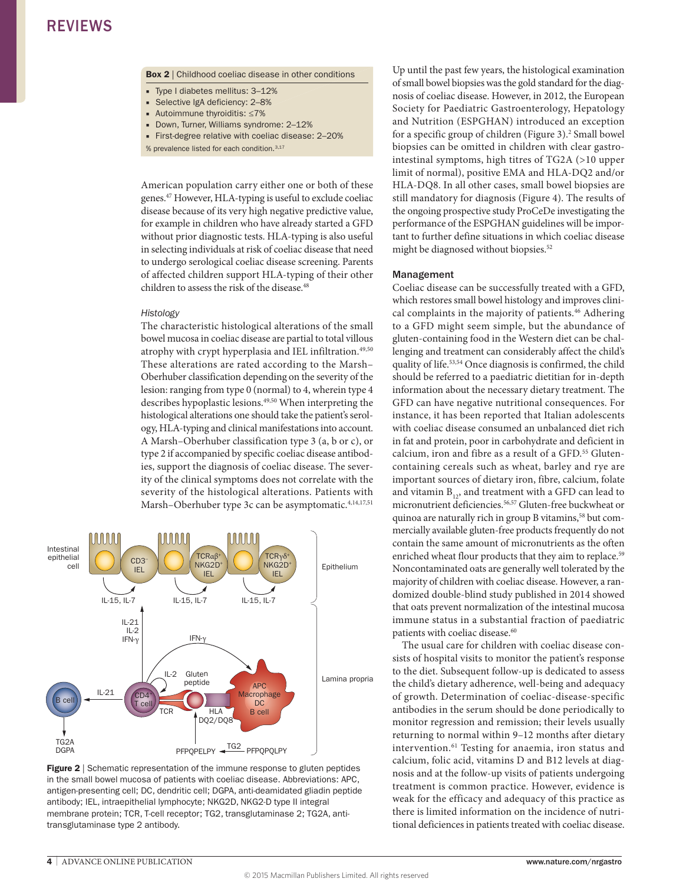Box 2 | Childhood coeliac disease in other conditions

- Type I diabetes mellitus: 3–12%
- Selective IgA deficiency: 2–8%
- Autoimmune thyroiditis: ≤7%
- Down, Turner, Williams syndrome: 2–12%
- First-degree relative with coeliac disease: 2–20%
- % prevalence listed for each condition.<sup>3,17</sup>

American population carry either one or both of these genes.47 However, HLA-typing is useful to exclude coeliac disease because of its very high negative predictive value, for example in children who have already started a GFD without prior diagnostic tests. HLA-typing is also useful in selecting individuals at risk of coeliac disease that need to undergo serological coeliac disease screening. Parents of affected children support HLA-typing of their other children to assess the risk of the disease.<sup>48</sup>

#### *Histology*

The characteristic histological alterations of the small bowel mucosa in coeliac disease are partial to total villous atrophy with crypt hyperplasia and IEL infiltration.<sup>49,50</sup> These alterations are rated according to the Marsh– Oberhuber classification depending on the severity of the lesion: ranging from type 0 (normal) to 4, wherein type 4 describes hypoplastic lesions.<sup>49,50</sup> When interpreting the histological alterations one should take the patient's serology, HLA-typing and clinical manifestations into account. A Marsh–Oberhuber classification type 3 (a, b or c), or type 2 if accompanied by specific coeliac disease antibodies, support the diagnosis of coeliac disease. The severity of the clinical symptoms does not correlate with the severity of the histological alterations. Patients with Marsh-Oberhuber type 3c can be asymptomatic.<sup>4,14,17,51</sup>



**Figure 2** | Schematic representation of the immune response to gluten peptides in the small bowel mucosa of patients with coeliac disease. Abbreviations: APC, antigen-presenting cell; DC, dendritic cell; DGPA, anti-deamidated gliadin peptide antibody; IEL, intraepithelial lymphocyte; NKG2D, NKG2-D type II integral membrane protein; TCR, T-cell receptor; TG2, transglutaminase 2; TG2A, antitransglutaminase type 2 antibody.

Up until the past few years, the histological examination of small bowel biopsies was the gold standard for the diagnosis of coeliac disease. However, in 2012, the European Society for Paediatric Gastroenterology, Hepatology and Nutrition (ESPGHAN) introduced an exception for a specific group of children (Figure 3).<sup>2</sup> Small bowel biopsies can be omitted in children with clear gastrointestinal symptoms, high titres of TG2A (>10 upper limit of normal), positive EMA and HLA-DQ2 and/or HLA-DQ8. In all other cases, small bowel biopsies are still mandatory for diagnosis (Figure 4). The results of the ongoing prospective study ProCeDe investigating the performance of the ESPGHAN guidelines will be important to further define situations in which coeliac disease might be diagnosed without biopsies.<sup>52</sup>

#### Management

Coeliac disease can be successfully treated with a GFD, which restores small bowel histology and improves clinical complaints in the majority of patients.<sup>46</sup> Adhering to a GFD might seem simple, but the abundance of gluten-containing food in the Western diet can be challenging and treatment can considerably affect the child's quality of life.53,54 Once diagnosis is confirmed, the child should be referred to a paediatric dietitian for in-depth information about the necessary dietary treatment. The GFD can have negative nutritional consequences. For instance, it has been reported that Italian adolescents with coeliac disease consumed an unbalanced diet rich in fat and protein, poor in carbohydrate and deficient in calcium, iron and fibre as a result of a GFD.<sup>55</sup> Glutencontaining cereals such as wheat, barley and rye are important sources of dietary iron, fibre, calcium, folate and vitamin  $B_{12}$ , and treatment with a GFD can lead to micronutrient deficiencies.56,57 Gluten-free buckwheat or quinoa are naturally rich in group B vitamins,<sup>58</sup> but commercially available gluten-free products frequently do not contain the same amount of micronutrients as the often enriched wheat flour products that they aim to replace.<sup>59</sup> Noncontaminated oats are generally well tolerated by the majority of children with coeliac disease. However, a randomized double-blind study published in 2014 showed that oats prevent normalization of the intestinal mucosa immune status in a substantial fraction of paediatric patients with coeliac disease.<sup>60</sup>

The usual care for children with coeliac disease consists of hospital visits to monitor the patient's response to the diet. Subsequent follow-up is dedicated to assess the child's dietary adherence, well-being and adequacy of growth. Determination of coeliac-disease-specific antibodies in the serum should be done periodically to monitor regression and remission; their levels usually returning to normal within 9–12 months after dietary intervention.<sup>61</sup> Testing for anaemia, iron status and calcium, folic acid, vitamins D and B12 levels at diagnosis and at the follow-up visits of patients undergoing treatment is common practice. However, evidence is weak for the efficacy and adequacy of this practice as there is limited information on the incidence of nutritional deficiences in patients treated with coeliac disease.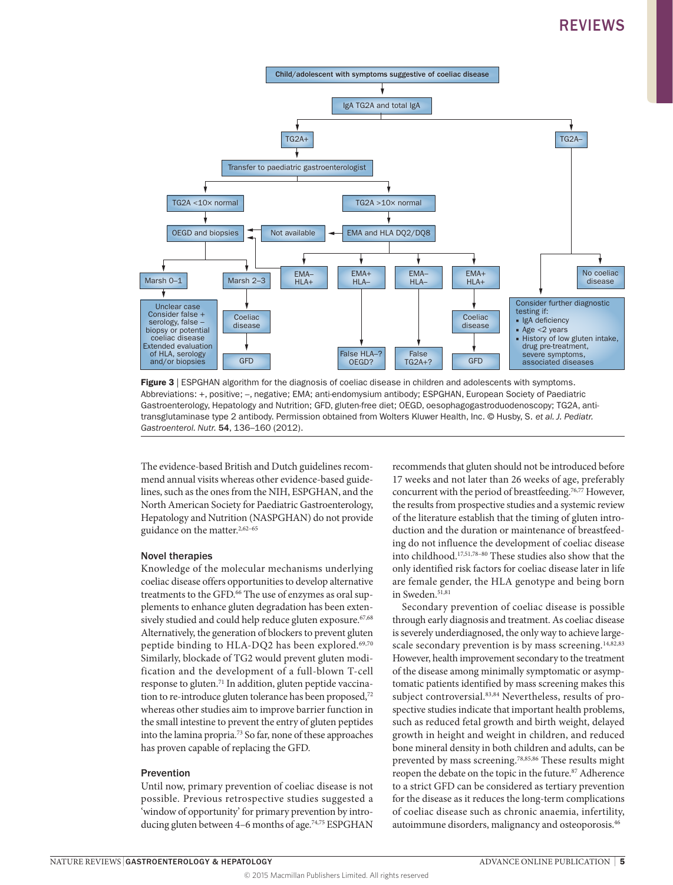

Figure 3 | ESPGHAN algorithm for the diagnosis of coeliac disease in children and adolescents with symptoms. Abbreviations: +, positive; –, negative; EMA; anti-endomysium antibody; ESPGHAN, European Society of Paediatric Gastroenterology, Hepatology and Nutrition; GFD, gluten-free diet; OEGD, oesophagogastroduodenoscopy; TG2A, antitransglutaminase type 2 antibody. Permission obtained from Wolters Kluwer Health, Inc. © Husby, S. *et al. J. Pediatr. Gastroenterol. Nutr.* 54, 136–160 (2012).

The evidence-based British and Dutch guidelines recommend annual visits whereas other evidence-based guidelines, such as the ones from the NIH, ESPGHAN, and the North American Society for Paediatric Gastroenterology, Hepatology and Nutrition (NASPGHAN) do not provide guidance on the matter.<sup>2,62-65</sup>

#### Novel therapies

Knowledge of the molecular mechanisms underlying coeliac disease offers opportunities to develop alternative treatments to the GFD.<sup>66</sup> The use of enzymes as oral supplements to enhance gluten degradation has been extensively studied and could help reduce gluten exposure.<sup>67,68</sup> Alternatively, the generation of blockers to prevent gluten peptide binding to HLA-DQ2 has been explored.<sup>69,70</sup> Similarly, blockade of TG2 would prevent gluten modification and the development of a full-blown T-cell response to gluten.<sup>71</sup> In addition, gluten peptide vaccination to re-introduce gluten tolerance has been proposed,<sup>72</sup> whereas other studies aim to improve barrier function in the small intestine to prevent the entry of gluten peptides into the lamina propria.73 So far, none of these approaches has proven capable of replacing the GFD.

#### Prevention

Until now, primary prevention of coeliac disease is not possible. Previous retrospective studies suggested a 'window of opportunity' for primary prevention by introducing gluten between 4–6 months of age.<sup>74,75</sup> ESPGHAN recommends that gluten should not be introduced before 17 weeks and not later than 26 weeks of age, preferably concurrent with the period of breastfeeding.76,77 However, the results from prospective studies and a systemic review of the literature establish that the timing of gluten introduction and the duration or maintenance of breastfeeding do not influence the development of coeliac disease into childhood.17,51,78–80 These studies also show that the only identified risk factors for coeliac disease later in life are female gender, the HLA genotype and being born in Sweden.<sup>51,81</sup>

Secondary prevention of coeliac disease is possible through early diagnosis and treatment. As coeliac disease is severely underdiagnosed, the only way to achieve largescale secondary prevention is by mass screening.<sup>14,82,83</sup> However, health improvement secondary to the treatment of the disease among minimally symptomatic or asymptomatic patients identified by mass screening makes this subject controversial.<sup>83,84</sup> Nevertheless, results of prospective studies indicate that important health problems, such as reduced fetal growth and birth weight, delayed growth in height and weight in children, and reduced bone mineral density in both children and adults, can be prevented by mass screening.78,85,86 These results might reopen the debate on the topic in the future.87 Adherence to a strict GFD can be considered as tertiary prevention for the disease as it reduces the long-term complications of coeliac disease such as chronic anaemia, infertility, autoimmune disorders, malignancy and osteoporosis.46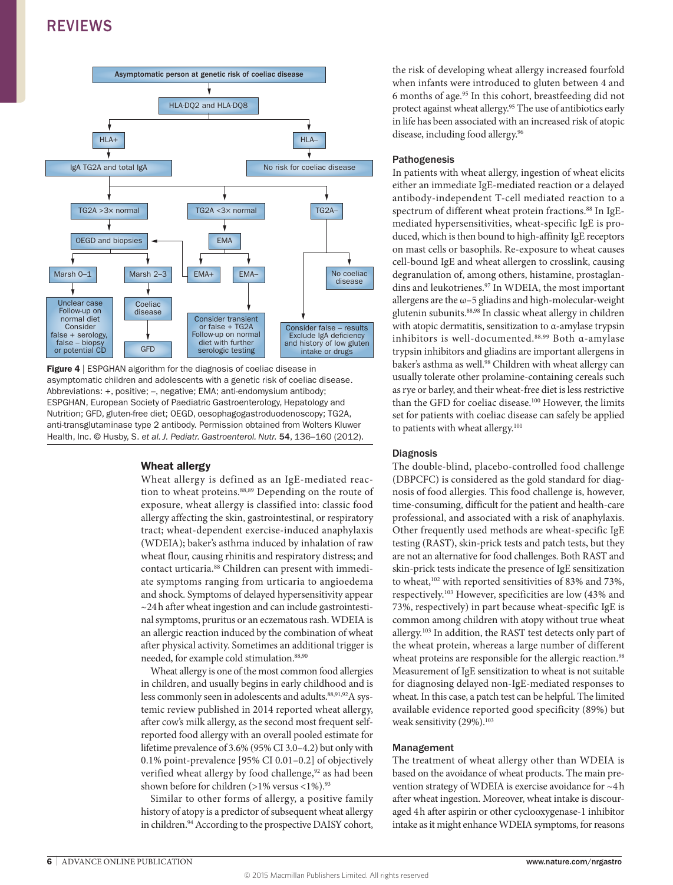

**Figure 4** | ESPGHAN algorithm for the diagnosis of coeliac disease in asymptomatic children and adolescents with a genetic risk of coeliac disease. Abbreviations: +, positive; –, negative; EMA; anti-endomysium antibody; ESPGHAN, European Society of Paediatric Gastroenterology, Hepatology and Nutrition; GFD, gluten-free diet; OEGD, oesophagogastroduodenoscopy; TG2A, anti-transglutaminase type 2 antibody. Permission obtained from Wolters Kluwer Health, Inc. © Husby, S. *et al. J. Pediatr. Gastroenterol. Nutr.* 54, 136–160 (2012).

#### Wheat allergy

Wheat allergy is defined as an IgE-mediated reaction to wheat proteins.<sup>88,89</sup> Depending on the route of exposure, wheat allergy is classified into: classic food allergy affecting the skin, gastrointestinal, or respiratory tract; wheat-dependent exercise-induced anaphylaxis (WDEIA); baker's asthma induced by inhalation of raw wheat flour, causing rhinitis and respiratory distress; and contact urticaria.<sup>88</sup> Children can present with immediate symptoms ranging from urticaria to angioedema and shock. Symptoms of delayed hypersensitivity appear ~24h after wheat ingestion and can include gastrointestinal symptoms, pruritus or an eczematous rash. WDEIA is an allergic reaction induced by the combination of wheat after physical activity. Sometimes an additional trigger is needed, for example cold stimulation.<sup>88,90</sup>

Wheat allergy is one of the most common food allergies in children, and usually begins in early childhood and is less commonly seen in adolescents and adults.<sup>88,91,92</sup>A systemic review published in 2014 reported wheat allergy, after cow's milk allergy, as the second most frequent selfreported food allergy with an overall pooled estimate for lifetime prevalence of 3.6% (95% CI 3.0–4.2) but only with 0.1% point-prevalence [95% CI 0.01–0.2] of objectively verified wheat allergy by food challenge,<sup>92</sup> as had been shown before for children (>1% versus <1%).93

Similar to other forms of allergy, a positive family history of atopy is a predictor of subsequent wheat allergy in children.<sup>94</sup> According to the prospective DAISY cohort, the risk of developing wheat allergy increased fourfold when infants were introduced to gluten between 4 and 6 months of age.95 In this cohort, breastfeeding did not protect against wheat allergy.95 The use of antibiotics early in life has been associated with an increased risk of atopic disease, including food allergy.<sup>96</sup>

#### Pathogenesis

In patients with wheat allergy, ingestion of wheat elicits either an immediate IgE-mediated reaction or a delayed antibody-independent T-cell mediated reaction to a spectrum of different wheat protein fractions.<sup>88</sup> In IgEmediated hypersensitivities, wheat-specific IgE is produced, which is then bound to high-affinity IgE receptors on mast cells or basophils. Re-exposure to wheat causes cell-bound IgE and wheat allergen to crosslink, causing degranulation of, among others, histamine, prostaglandins and leukotrienes.<sup>97</sup> In WDEIA, the most important allergens are the  $\omega$ -5 gliadins and high-molecular-weight glutenin subunits.<sup>88,98</sup> In classic wheat allergy in children with atopic dermatitis, sensitization to α-amylase trypsin inhibitors is well-documented.88,99 Both α-amylase trypsin inhibitors and gliadins are important allergens in baker's asthma as well.<sup>98</sup> Children with wheat allergy can usually tolerate other prolamine-containing cereals such as rye or barley, and their wheat-free diet is less restrictive than the GFD for coeliac disease.<sup>100</sup> However, the limits set for patients with coeliac disease can safely be applied to patients with wheat allergy.<sup>101</sup>

#### Diagnosis

The double-blind, placebo-controlled food challenge (DBPCFC) is considered as the gold standard for diagnosis of food allergies. This food challenge is, however, time-consuming, difficult for the patient and health-care professional, and associated with a risk of anaphylaxis. Other frequently used methods are wheat-specific IgE testing (RAST), skin-prick tests and patch tests, but they are not an alternative for food challenges. Both RAST and skin-prick tests indicate the presence of IgE sensitization to wheat,<sup>102</sup> with reported sensitivities of 83% and 73%, respectively.103 However, specificities are low (43% and 73%, respectively) in part because wheat-specific IgE is common among children with atopy without true wheat allergy.103 In addition, the RAST test detects only part of the wheat protein, whereas a large number of different wheat proteins are responsible for the allergic reaction.<sup>98</sup> Measurement of IgE sensitization to wheat is not suitable for diagnosing delayed non-IgE-mediated responses to wheat. In this case, a patch test can be helpful. The limited available evidence reported good specificity (89%) but weak sensitivity (29%).<sup>103</sup>

#### Management

The treatment of wheat allergy other than WDEIA is based on the avoidance of wheat products. The main prevention strategy of WDEIA is exercise avoidance for ~4h after wheat ingestion. Moreover, wheat intake is discouraged 4h after aspirin or other cyclooxygenase-1 inhibitor intake as it might enhance WDEIA symptoms, for reasons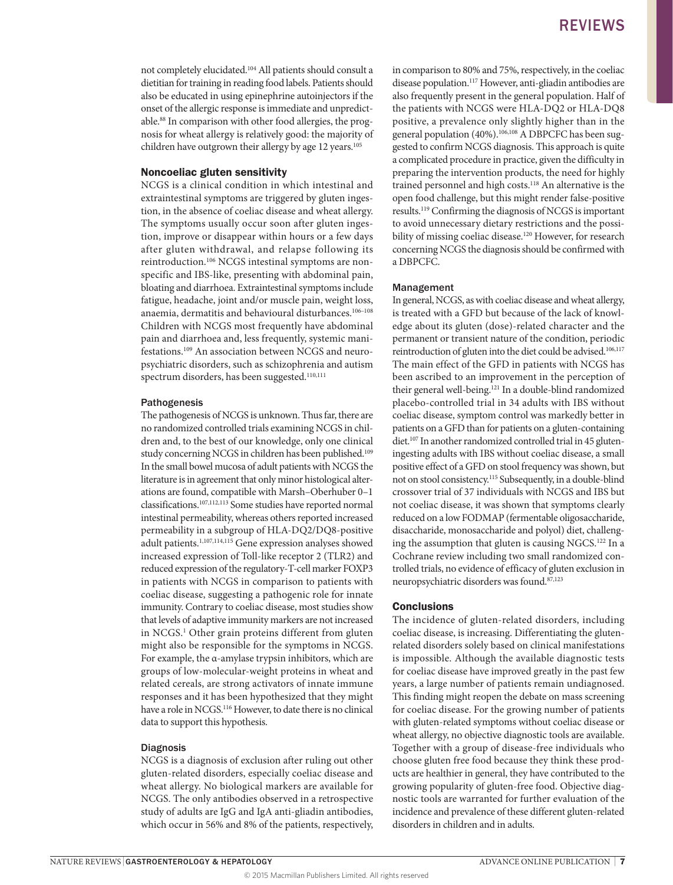not completely elucidated.104 All patients should consult a dietitian for training in reading food labels. Patients should also be educated in using epinephrine autoinjectors if the onset of the allergic response is immediate and unpredictable.88 In comparison with other food allergies, the prognosis for wheat allergy is relatively good: the majority of children have outgrown their allergy by age 12 years.<sup>105</sup>

#### Noncoeliac gluten sensitivity

NCGS is a clinical condition in which intestinal and extraintestinal symptoms are triggered by gluten ingestion, in the absence of coeliac disease and wheat allergy. The symptoms usually occur soon after gluten ingestion, improve or disappear within hours or a few days after gluten withdrawal, and relapse following its reintroduction.106 NCGS intestinal symptoms are nonspecific and IBS-like, presenting with abdominal pain, bloating and diarrhoea. Extraintestinal symptoms include fatigue, headache, joint and/or muscle pain, weight loss, anaemia, dermatitis and behavioural disturbances.<sup>106-108</sup> Children with NCGS most frequently have abdominal pain and diarrhoea and, less frequently, systemic manifestations.109 An association between NCGS and neuropsychiatric disorders, such as schizophrenia and autism spectrum disorders, has been suggested.<sup>110,111</sup>

#### Pathogenesis

The pathogenesis of NCGS is unknown. Thus far, there are no randomized controlled trials examining NCGS in children and, to the best of our knowledge, only one clinical study concerning NCGS in children has been published.<sup>109</sup> In the small bowel mucosa of adult patients with NCGS the literature is in agreement that only minor histological alterations are found, compatible with Marsh–Oberhuber 0–1 classifications.107,112,113 Some studies have reported normal intestinal permeability, whereas others reported increased permeability in a subgroup of HLA-DQ2/DQ8-positive adult patients.<sup>1,107,114,115</sup> Gene expression analyses showed increased expression of Toll-like receptor 2 (TLR2) and reduced expression of the regulatory-T-cell marker FOXP3 in patients with NCGS in comparison to patients with coeliac disease, suggesting a pathogenic role for innate immunity. Contrary to coeliac disease, most studies show that levels of adaptive immunity markers are not increased in NCGS.1 Other grain proteins different from gluten might also be responsible for the symptoms in NCGS. For example, the α-amylase trypsin inhibitors, which are groups of low-molecular-weight proteins in wheat and related cereals, are strong activators of innate immune responses and it has been hypothesized that they might have a role in NCGS.<sup>116</sup> However, to date there is no clinical data to support this hypothesis.

#### Diagnosis

NCGS is a diagnosis of exclusion after ruling out other gluten-related disorders, especially coeliac disease and wheat allergy. No biological markers are available for NCGS. The only antibodies observed in a retrospective study of adults are IgG and IgA anti-gliadin antibodies, which occur in 56% and 8% of the patients, respectively, in comparison to 80% and 75%, respectively, in the coeliac disease population.117 However, anti-gliadin antibodies are also frequently present in the general population. Half of the patients with NCGS were HLA-DQ2 or HLA-DQ8 positive, a prevalence only slightly higher than in the general population (40%).<sup>106,108</sup> A DBPCFC has been suggested to confirm NCGS diagnosis. This approach is quite a complicated procedure in practice, given the difficulty in preparing the intervention products, the need for highly trained personnel and high costs.118 An alternative is the open food challenge, but this might render false-positive results.119 Confirming the diagnosis of NCGS is important to avoid unnecessary dietary restrictions and the possibility of missing coeliac disease.<sup>120</sup> However, for research concerning NCGS the diagnosis should be confirmed with a DBPCFC.

#### Management

In general, NCGS, as with coeliac disease and wheat allergy, is treated with a GFD but because of the lack of knowledge about its gluten (dose)-related character and the permanent or transient nature of the condition, periodic reintroduction of gluten into the diet could be advised.<sup>106,117</sup> The main effect of the GFD in patients with NCGS has been ascribed to an improvement in the perception of their general well-being.<sup>121</sup> In a double-blind randomized placebo-controlled trial in 34 adults with IBS without coeliac disease, symptom control was markedly better in patients on a GFD than for patients on a gluten-containing diet.<sup>107</sup> In another randomized controlled trial in 45 gluteningesting adults with IBS without coeliac disease, a small positive effect of a GFD on stool frequency was shown, but not on stool consistency.115 Subsequently, in a double-blind crossover trial of 37 individuals with NCGS and IBS but not coeliac disease, it was shown that symptoms clearly reduced on a low FODMAP (fermentable oligosaccharide, disaccharide, monosaccharide and polyol) diet, challenging the assumption that gluten is causing NGCS.<sup>122</sup> In a Cochrane review including two small randomized controlled trials, no evidence of efficacy of gluten exclusion in neuropsychiatric disorders was found.87,123

#### **Conclusions**

The incidence of gluten-related disorders, including coeliac disease, is increasing. Differentiating the glutenrelated disorders solely based on clinical manifestations is impossible. Although the available diagnostic tests for coeliac disease have improved greatly in the past few years, a large number of patients remain undiagnosed. This finding might reopen the debate on mass screening for coeliac disease. For the growing number of patients with gluten-related symptoms without coeliac disease or wheat allergy, no objective diagnostic tools are available. Together with a group of disease-free individuals who choose gluten free food because they think these products are healthier in general, they have contributed to the growing popularity of gluten-free food. Objective diagnostic tools are warranted for further evaluation of the incidence and prevalence of these different gluten-related disorders in children and in adults.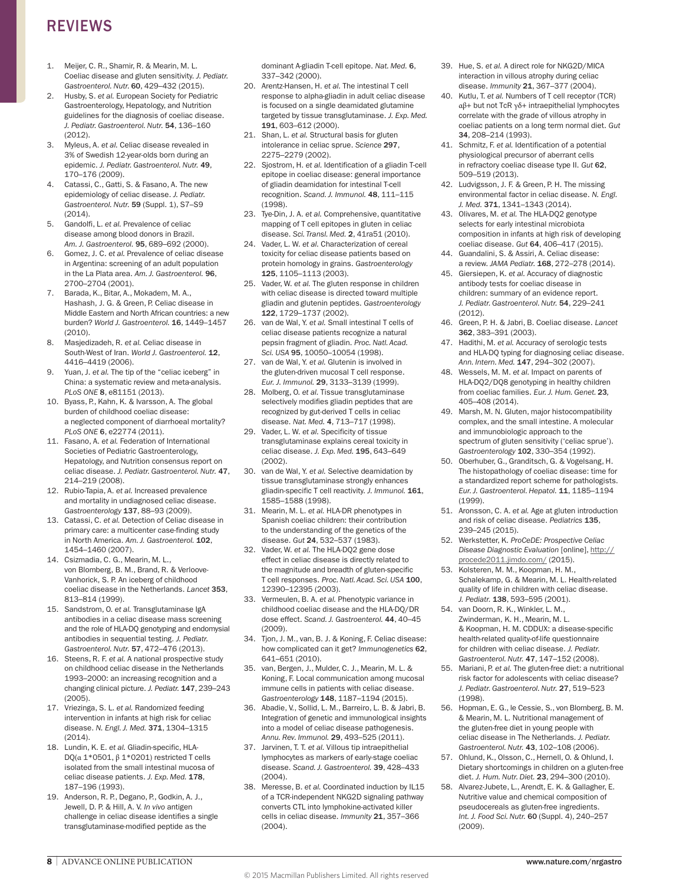- 1. Meijer, C. R., Shamir, R. & Mearin, M. L. Coeliac disease and gluten sensitivity. *J. Pediatr. Gastroenterol. Nutr.* 60, 429–432 (2015).
- 2. Husby, S. *et al.* European Society for Pediatric Gastroenterology, Hepatology, and Nutrition guidelines for the diagnosis of coeliac disease. *J. Pediatr. Gastroenterol. Nutr.* 54, 136–160  $(2012)$
- 3. Myleus, A. *et al.* Celiac disease revealed in 3% of Swedish 12-year-olds born during an epidemic. *J. Pediatr. Gastroenterol. Nutr.* 49, 170–176 (2009).
- 4. Catassi, C., Gatti, S. & Fasano, A. The new epidemiology of celiac disease. *J. Pediatr. Gastroenterol. Nutr.* 59 (Suppl. 1), S7–S9 (2014).
- 5. Gandolfi, L. *et al.* Prevalence of celiac disease among blood donors in Brazil. *Am. J. Gastroenterol.* 95, 689–692 (2000).
- 6. Gomez, J. C. *et al.* Prevalence of celiac disease in Argentina: screening of an adult population in the La Plata area. *Am. J. Gastroenterol.* 96, 2700–2704 (2001).
- 7. Barada, K., Bitar, A., Mokadem, M. A., Hashash, J. G. & Green, P. Celiac disease in Middle Eastern and North African countries: a new burden? *World J. Gastroenterol.* 16, 1449–1457 (2010).
- 8. Masjedizadeh, R. *et al.* Celiac disease in South-West of Iran. *World J. Gastroenterol.* 12, 4416–4419 (2006).
- 9. Yuan, J. *et al.* The tip of the "celiac iceberg" in China: a systematic review and meta-analysis. *PLoS ONE* 8, e81151 (2013).
- 10. Byass, P., Kahn, K. & Ivarsson, A. The global burden of childhood coeliac disease: a neglected component of diarrhoeal mortality? *PLoS ONE* 6, e22774 (2011).
- 11. Fasano, A. *et al.* Federation of International Societies of Pediatric Gastroenterology, Hepatology, and Nutrition consensus report on celiac disease. *J. Pediatr. Gastroenterol. Nutr.* 47, 214–219 (2008).
- 12. Rubio-Tapia, A. *et al.* Increased prevalence and mortality in undiagnosed celiac disease. *Gastroenterology* 137, 88–93 (2009).
- 13. Catassi, C. *et al.* Detection of Celiac disease in primary care: a multicenter case-finding study in North America. *Am. J. Gastroenterol.* 102, 1454–1460 (2007).
- 14. Csizmadia, C. G., Mearin, M. L., von Blomberg, B. M., Brand, R. & Verloove-Vanhorick, S. P. An iceberg of childhood coeliac disease in the Netherlands. *Lancet* 353, 813–814 (1999).
- 15. Sandstrom, O. *et al.* Transglutaminase IgA antibodies in a celiac disease mass screening and the role of HLA-DQ genotyping and endomysial antibodies in sequential testing. *J. Pediatr. Gastroenterol. Nutr.* 57, 472–476 (2013).
- 16. Steens, R. F. *et al.* A national prospective study on childhood celiac disease in the Netherlands 1993–2000: an increasing recognition and a changing clinical picture. *J. Pediatr.* 147, 239–243 (2005).
- 17. Vriezinga, S. L. *et al.* Randomized feeding intervention in infants at high risk for celiac disease. *N. Engl. J. Med.* 371, 1304–1315 (2014).
- 18. Lundin, K. E. *et al.* Gliadin-specific, HLA-DQ( $α$  1\*0501,  $β$  1\*0201) restricted T cells isolated from the small intestinal mucosa of celiac disease patients. *J. Exp. Med.* 178, 187–196 (1993).
- 19. Anderson, R. P., Degano, P., Godkin, A. J., Jewell, D. P. & Hill, A. V. *In vivo* antigen challenge in celiac disease identifies a single transglutaminase-modified peptide as the

dominant A-gliadin T-cell epitope. *Nat. Med.* 6, 337–342 (2000).

- 20. Arentz-Hansen, H. *et al.* The intestinal T cell response to alpha-gliadin in adult celiac disease is focused on a single deamidated glutamine targeted by tissue transglutaminase. *J. Exp. Med.* 191, 603–612 (2000).
- 21. Shan, L. *et al.* Structural basis for gluten intolerance in celiac sprue. *Science* 297, 2275–2279 (2002).
- 22. Sjostrom, H. *et al.* Identification of a gliadin T-cell epitope in coeliac disease: general importance of gliadin deamidation for intestinal T-cell recognition. *Scand. J. Immunol.* 48, 111–115 (1998).
- 23. Tye-Din, J. A. *et al.* Comprehensive, quantitative mapping of T cell epitopes in gluten in celiac disease. *Sci. Transl. Med.* 2, 41ra51 (2010).
- 24. Vader, L. W. *et al.* Characterization of cereal toxicity for celiac disease patients based on protein homology in grains. *Gastroenterology* 125, 1105–1113 (2003).
- 25. Vader, W. *et al.* The gluten response in children with celiac disease is directed toward multiple gliadin and glutenin peptides. *Gastroenterology* 122, 1729–1737 (2002).
- 26. van de Wal, Y. *et al.* Small intestinal T cells of celiac disease patients recognize a natural pepsin fragment of gliadin. *Proc. Natl. Acad. Sci. USA* 95, 10050–10054 (1998).
- 27. van de Wal, Y. *et al.* Glutenin is involved in the gluten-driven mucosal T cell response. *Eur. J. Immunol.* 29, 3133–3139 (1999).
- 28. Molberg, O. *et al.* Tissue transglutaminase selectively modifies gliadin peptides that are recognized by gut-derived T cells in celiac disease. *Nat. Med.* 4, 713–717 (1998).
- 29. Vader, L. W. *et al.* Specificity of tissue transglutaminase explains cereal toxicity in celiac disease. *J. Exp. Med.* 195, 643–649 (2002).
- 30. van de Wal, Y. *et al.* Selective deamidation by tissue transglutaminase strongly enhances gliadin-specific T cell reactivity. *J. Immunol.* 161, 1585–1588 (1998).
- 31. Mearin, M. L. *et al.* HLA-DR phenotypes in Spanish coeliac children: their contribution to the understanding of the genetics of the disease. *Gut* 24, 532–537 (1983).
- 32. Vader, W. *et al.* The HLA-DQ2 gene dose effect in celiac disease is directly related to the magnitude and breadth of gluten-specific T cell responses. *Proc. Natl. Acad. Sci. USA* 100, 12390–12395 (2003).
- 33. Vermeulen, B. A. *et al.* Phenotypic variance in childhood coeliac disease and the HLA-DQ/DR dose effect. *Scand. J. Gastroenterol.* 44, 40–45 (2009).
- 34. Tjon, J. M., van, B. J. & Koning, F. Celiac disease: how complicated can it get? *Immunogenetics* 62, 641–651 (2010).
- 35. van, Bergen, J., Mulder, C. J., Mearin, M. L. & Koning, F. Local communication among mucosal immune cells in patients with celiac disease. *Gastroenterology* 148, 1187–1194 (2015).
- 36. Abadie, V., Sollid, L. M., Barreiro, L. B. & Jabri, B. Integration of genetic and immunological insights into a model of celiac disease pathogenesis. *Annu. Rev. Immunol.* 29, 493–525 (2011).
- 37. Jarvinen, T. T. *et al.* Villous tip intraepithelial lymphocytes as markers of early-stage coeliac disease. *Scand. J. Gastroenterol.* 39, 428–433 (2004).
- 38. Meresse, B. *et al.* Coordinated induction by IL15 of a TCR-independent NKG2D signaling pathway converts CTL into lymphokine-activated killer cells in celiac disease. *Immunity* 21, 357–366 (2004).
- 39. Hue, S. *et al.* A direct role for NKG2D/MICA interaction in villous atrophy during celiac disease. *Immunity* 21, 367–377 (2004).
- 40. Kutlu, T. *et al.* Numbers of T cell receptor (TCR) αβ+ but not TcR γδ+ intraepithelial lymphocytes correlate with the grade of villous atrophy in coeliac patients on a long term normal diet. *Gut* 34, 208–214 (1993).
- 41. Schmitz, F. *et al.* Identification of a potential physiological precursor of aberrant cells in refractory coeliac disease type II. *Gut* 62, 509–519 (2013).
- 42. Ludvigsson, J. F. & Green, P. H. The missing environmental factor in celiac disease. *N. Engl. J. Med.* 371, 1341–1343 (2014).
- 43. Olivares, M. *et al.* The HLA-DQ2 genotype selects for early intestinal microbiota composition in infants at high risk of developing coeliac disease. *Gut* 64, 406–417 (2015).
- Guandalini, S. & Assiri, A. Celiac disease: a review. *JAMA Pediatr.* 168, 272–278 (2014).
- 45. Giersiepen, K. *et al.* Accuracy of diagnostic antibody tests for coeliac disease in children: summary of an evidence report. *J. Pediatr. Gastroenterol. Nutr.* 54, 229–241 (2012).
- 46. Green, P. H. & Jabri, B. Coeliac disease. *Lancet* 362, 383–391 (2003).
- 47. Hadithi, M. *et al.* Accuracy of serologic tests and HLA-DQ typing for diagnosing celiac disease. *Ann. Intern. Med.* 147, 294–302 (2007).
- 48. Wessels, M. M. *et al.* Impact on parents of HLA-DQ2/DQ8 genotyping in healthy children from coeliac families. *Eur. J. Hum. Genet.* 23*,*  405–408 (2014).
- 49. Marsh, M. N. Gluten, major histocompatibility complex, and the small intestine. A molecular and immunobiologic approach to the spectrum of gluten sensitivity ('celiac sprue'). *Gastroenterology* 102, 330–354 (1992).
- 50. Oberhuber, G., Granditsch, G. & Vogelsang, H. The histopathology of coeliac disease: time for a standardized report scheme for pathologists. *Eur. J. Gastroenterol. Hepatol.* 11, 1185–1194 (1999).
- 51. Aronsson, C. A. *et al.* Age at gluten introduction and risk of celiac disease. *Pediatrics* 135, 239–245 (2015).
- 52. Werkstetter, K. *ProCeDE: Prospective Celiac Disease Diagnostic Evaluation* [online], [http://](http://procede2011.jimdo.com/) [procede2011.jimdo.com/](http://procede2011.jimdo.com/) (2015).
- 53. Kolsteren, M. M., Koopman, H. M., Schalekamp, G. & Mearin, M. L. Health-related quality of life in children with celiac disease. *J. Pediatr.* 138, 593–595 (2001).
- 54. van Doorn, R. K., Winkler, L. M., Zwinderman, K. H., Mearin, M. L. & Koopman, H. M. CDDUX: a disease-specific health-related quality-of-life questionnaire for children with celiac disease. *J. Pediatr. Gastroenterol. Nutr.* 47, 147–152 (2008).
- 55. Mariani, P. *et al.* The gluten-free diet: a nutritional risk factor for adolescents with celiac disease? *J. Pediatr. Gastroenterol. Nutr.* 27, 519–523 (1998).
- 56. Hopman, E. G., le Cessie, S., von Blomberg, B. M. & Mearin, M. L. Nutritional management of the gluten-free diet in young people with celiac disease in The Netherlands. *J. Pediatr. Gastroenterol. Nutr.* 43, 102–108 (2006).
- 57. Ohlund, K., Olsson, C., Hernell, O. & Ohlund, I. Dietary shortcomings in children on a gluten-free diet. *J. Hum. Nutr. Diet.* 23, 294–300 (2010).
- 58. Alvarez-Jubete, L., Arendt, E. K. & Gallagher, E. Nutritive value and chemical composition of pseudocereals as gluten-free ingredients. *Int. J. Food Sci. Nutr.* 60 (Suppl. 4), 240–257 (2009).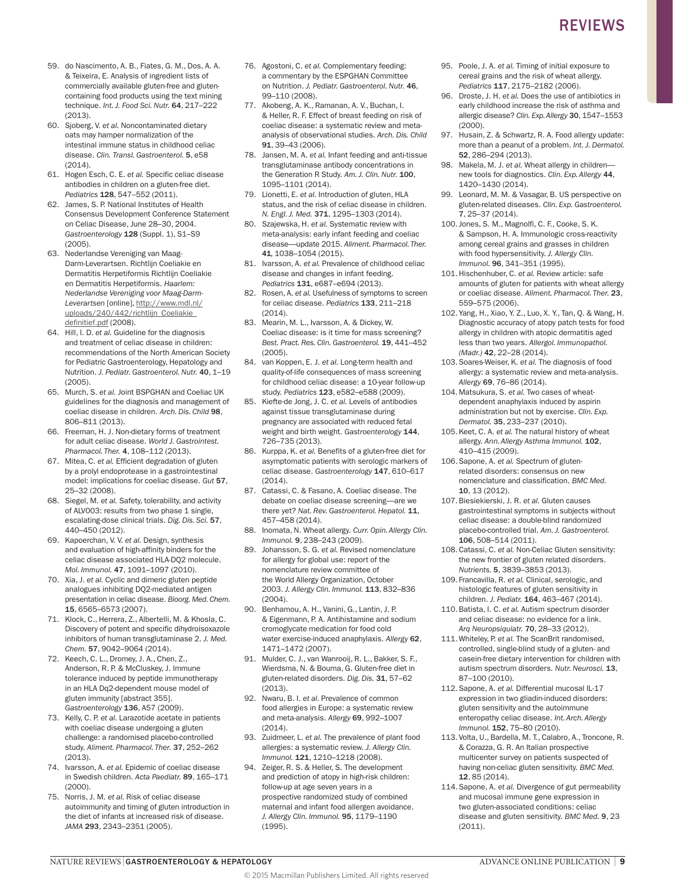- 59. do Nascimento, A. B., Fiates, G. M., Dos, A. A. & Teixeira, E. Analysis of ingredient lists of commercially available gluten-free and glutencontaining food products using the text mining technique. *Int. J. Food Sci. Nutr.* 64, 217–222 (2013).
- 60. Sjoberg, V. *et al.* Noncontaminated dietary oats may hamper normalization of the intestinal immune status in childhood celiac disease. *Clin. Transl. Gastroenterol.* 5, e58 (2014).
- 61. Hogen Esch, C. E. *et al.* Specific celiac disease antibodies in children on a gluten-free diet. *Pediatrics* 128, 547–552 (2011).
- 62. James, S. P. National Institutes of Health Consensus Development Conference Statement on Celiac Disease, June 28–30, 2004. *Gastroenterology* 128 (Suppl. 1), S1–S9 (2005).
- 63. Nederlandse Vereniging van Maag-Darm-Leverartsen. Richtlijn Coeliakie en Dermatitis Herpetiformis Richtlijn Coeliakie en Dermatitis Herpetiformis. *Haarlem: Nederlandse Vereniging voor Maag-Darm*Leverartsen [online], [http://www.mdl.nl/](http://www.mdl.nl/uploads/240/442/richtlijn_Coeliakie_definitief.pdf  ) uploads/240/442/richtlijn\_Coeliakie [definitief.pdf](http://www.mdl.nl/uploads/240/442/richtlijn_Coeliakie_definitief.pdf  ) (2008).
- 64. Hill, I. D. *et al.* Guideline for the diagnosis and treatment of celiac disease in children: recommendations of the North American Society for Pediatric Gastroenterology, Hepatology and Nutrition. *J. Pediatr. Gastroenterol. Nutr.* 40, 1–19 (2005).
- 65. Murch, S. *et al.* Joint BSPGHAN and Coeliac UK guidelines for the diagnosis and management of coeliac disease in children. *Arch. Dis. Child* 98, 806–811 (2013).
- 66. Freeman, H. J. Non-dietary forms of treatment for adult celiac disease. *World J. Gastrointest. Pharmacol. Ther.* 4, 108–112 (2013).
- 67. Mitea, C. *et al.* Efficient degradation of gluten by a prolyl endoprotease in a gastrointestinal model: implications for coeliac disease. *Gut* 57, 25–32 (2008).
- 68. Siegel, M. *et al.* Safety, tolerability, and activity of ALV003: results from two phase 1 single, escalating-dose clinical trials. *Dig. Dis. Sci.* 57, 440–450 (2012).
- 69. Kapoerchan, V. V. *et al.* Design, synthesis and evaluation of high-affinity binders for the celiac disease associated HLA-DQ2 molecule. *Mol. Immunol.* 47, 1091–1097 (2010).
- 70. Xia, J. *et al.* Cyclic and dimeric gluten peptide analogues inhibiting DQ2-mediated antigen presentation in celiac disease. *Bioorg. Med. Chem.* 15, 6565–6573 (2007).
- 71. Klock, C., Herrera, Z., Albertelli, M. & Khosla, C. Discovery of potent and specific dihydroisoxazole inhibitors of human transglutaminase 2. *J. Med. Chem.* 57, 9042–9064 (2014).
- 72. Keech, C. L., Dromey, J. A., Chen, Z., Anderson, R. P. & McCluskey, J. Immune tolerance induced by peptide immunotherapy in an HLA Dq2-dependent mouse model of gluten immunity [abstract 355]. *Gastroenterology* 136, A57 (2009).
- 73. Kelly, C. P. *et al.* Larazotide acetate in patients with coeliac disease undergoing a gluten challenge: a randomised placebo-controlled study. *Aliment. Pharmacol. Ther.* 37, 252–262 (2013).
- 74. Ivarsson, A. *et al.* Epidemic of coeliac disease in Swedish children. *Acta Paediatr.* 89, 165–171 (2000).
- 75. Norris, J. M. *et al.* Risk of celiac disease autoimmunity and timing of gluten introduction in the diet of infants at increased risk of disease. *JAMA* 293, 2343–2351 (2005).
- 76. Agostoni, C. *et al.* Complementary feeding: a commentary by the ESPGHAN Committee on Nutrition. *J. Pediatr. Gastroenterol. Nutr.* 46, 99–110 (2008).
- 77. Akobeng, A. K., Ramanan, A. V., Buchan, I. & Heller, R. F. Effect of breast feeding on risk of coeliac disease: a systematic review and metaanalysis of observational studies. *Arch. Dis. Child* 91, 39–43 (2006).
- 78. Jansen, M. A. *et al.* Infant feeding and anti-tissue transglutaminase antibody concentrations in the Generation R Study. *Am. J. Clin. Nutr.* 100, 1095–1101 (2014).
- 79. Lionetti, E. *et al.* Introduction of gluten, HLA status, and the risk of celiac disease in children. *N. Engl. J. Med.* 371, 1295–1303 (2014).
- 80. Szajewska, H. *et al.* Systematic review with meta-analysis: early infant feeding and coeliac disease—update 2015. *Aliment. Pharmacol. Ther.*  41*,* 1038–1054 (2015).
- 81. Ivarsson, A. *et al.* Prevalence of childhood celiac disease and changes in infant feeding. *Pediatrics* 131, e687–e694 (2013).
- 82. Rosen, A. *et al.* Usefulness of symptoms to screen for celiac disease. *Pediatrics* 133, 211–218 (2014).
- 83. Mearin, M. L., Ivarsson, A. & Dickey, W. Coeliac disease: is it time for mass screening? *Best. Pract. Res. Clin. Gastroenterol.* 19, 441–452 (2005).
- 84. van Koppen, E. J. *et al.* Long-term health and quality-of-life consequences of mass screening for childhood celiac disease: a 10-year follow-up study. *Pediatrics* 123, e582–e588 (2009).
- 85. Kiefte-de Jong, J. C. *et al.* Levels of antibodies against tissue transglutaminase during pregnancy are associated with reduced fetal weight and birth weight. *Gastroenterology* 144, 726–735 (2013).
- 86. Kurppa, K. *et al.* Benefits of a gluten-free diet for asymptomatic patients with serologic markers of celiac disease. *Gastroenterology* 147, 610–617 (2014).
- 87. Catassi, C. & Fasano, A. Coeliac disease. The debate on coeliac disease screening—are we there yet? Nat. Rev. Gastroenterol. Hepatol. 11, 457–458 (2014).
- 88. Inomata, N. Wheat allergy. *Curr. Opin. Allergy Clin. Immunol.* 9, 238–243 (2009).
- 89. Johansson, S. G. *et al.* Revised nomenclature for allergy for global use: report of the nomenclature review committee of the World Allergy Organization, October 2003. *J. Allergy Clin. Immunol.* 113, 832–836 (2004).
- 90. Benhamou, A. H., Vanini, G., Lantin, J. P. & Eigenmann, P. A. Antihistamine and sodium cromoglycate medication for food cold water exercise-induced anaphylaxis. *Allergy* 62, 1471–1472 (2007).
- 91. Mulder, C. J., van Wanrooij, R. L., Bakker, S. F., Wierdsma, N. & Bouma, G. Gluten-free diet in gluten-related disorders. *Dig. Dis.* 31, 57–62 (2013).
- 92. Nwaru, B. I. *et al.* Prevalence of common food allergies in Europe: a systematic review and meta-analysis. *Allergy* 69, 992–1007 (2014).
- 93. Zuidmeer, L. *et al.* The prevalence of plant food allergies: a systematic review. *J. Allergy Clin. Immunol.* 121, 1210–1218 (2008).
- 94. Zeiger, R. S. & Heller, S. The development and prediction of atopy in high-risk children: follow-up at age seven years in a prospective randomized study of combined maternal and infant food allergen avoidance. *J. Allergy Clin. Immunol.* 95, 1179–1190 (1995).
- 95. Poole, J. A. *et al.* Timing of initial exposure to cereal grains and the risk of wheat allergy. *Pediatrics* 117, 2175–2182 (2006).
- 96. Droste, J. H. *et al.* Does the use of antibiotics in early childhood increase the risk of asthma and allergic disease? *Clin. Exp. Allergy* 30, 1547–1553 (2000).
- 97. Husain, Z. & Schwartz, R. A. Food allergy update: more than a peanut of a problem. *Int. J. Dermatol.* 52, 286–294 (2013).
- 98. Makela, M. J. *et al.* Wheat allergy in children new tools for diagnostics. *Clin. Exp. Allergy* 44, 1420–1430 (2014).
- 99. Leonard, M. M. & Vasagar, B. US perspective on gluten-related diseases. *Clin. Exp. Gastroenterol.* 7, 25–37 (2014).
- 100. Jones, S. M., Magnolfi, C. F., Cooke, S. K. & Sampson, H. A. Immunologic cross-reactivity among cereal grains and grasses in children with food hypersensitivity. *J. Allergy Clin. Immunol.* 96, 341–351 (1995).
- 101.Hischenhuber, C. *et al.* Review article: safe amounts of gluten for patients with wheat allergy or coeliac disease. *Aliment. Pharmacol. Ther.* 23, 559–575 (2006).
- 102.Yang, H., Xiao, Y. Z., Luo, X. Y., Tan, Q. & Wang, H. Diagnostic accuracy of atopy patch tests for food allergy in children with atopic dermatitis aged less than two years. *Allergol. Immunopathol. (Madr.)* 42, 22–28 (2014).
- 103.Soares-Weiser, K. *et al.* The diagnosis of food allergy: a systematic review and meta-analysis. *Allergy* 69, 76–86 (2014).
- 104.Matsukura, S. *et al.* Two cases of wheatdependent anaphylaxis induced by aspirin administration but not by exercise. *Clin. Exp. Dermatol.* 35, 233–237 (2010).
- 105.Keet, C. A. *et al.* The natural history of wheat allergy. *Ann. Allergy Asthma Immunol.* 102, 410–415 (2009).
- 106.Sapone, A. *et al.* Spectrum of glutenrelated disorders: consensus on new nomenclature and classification. *BMC Med.* 10, 13 (2012).
- 107.Biesiekierski, J. R. *et al.* Gluten causes gastrointestinal symptoms in subjects without celiac disease: a double-blind randomized placebo-controlled trial. *Am. J. Gastroenterol.* 106, 508–514 (2011).
- 108.Catassi, C. *et al.* Non-Celiac Gluten sensitivity: the new frontier of gluten related disorders. *Nutrients.* 5, 3839–3853 (2013).
- 109. Francavilla, R. *et al.* Clinical, serologic, and histologic features of gluten sensitivity in children. *J. Pediatr.* 164, 463–467 (2014).
- 110.Batista, I. C. *et al.* Autism spectrum disorder and celiac disease: no evidence for a link. *Arq Neuropsiquiatr.* 70, 28–33 (2012).
- 111.Whiteley, P. *et al.* The ScanBrit randomised, controlled, single-blind study of a gluten- and casein-free dietary intervention for children with autism spectrum disorders. *Nutr. Neurosci.* 13, 87–100 (2010).
- 112.Sapone, A. *et al.* Differential mucosal IL-17 expression in two gliadin-induced disorders: gluten sensitivity and the autoimmune enteropathy celiac disease. *Int. Arch. Allergy Immunol.* 152, 75–80 (2010).
- 113. Volta, U., Bardella, M. T., Calabro, A., Troncone, R. & Corazza, G. R. An Italian prospective multicenter survey on patients suspected of having non-celiac gluten sensitivity. *BMC Med.* 12, 85 (2014).
- 114.Sapone, A. *et al.* Divergence of gut permeability and mucosal immune gene expression in two gluten-associated conditions: celiac disease and gluten sensitivity. *BMC Med.* 9, 23 (2011).